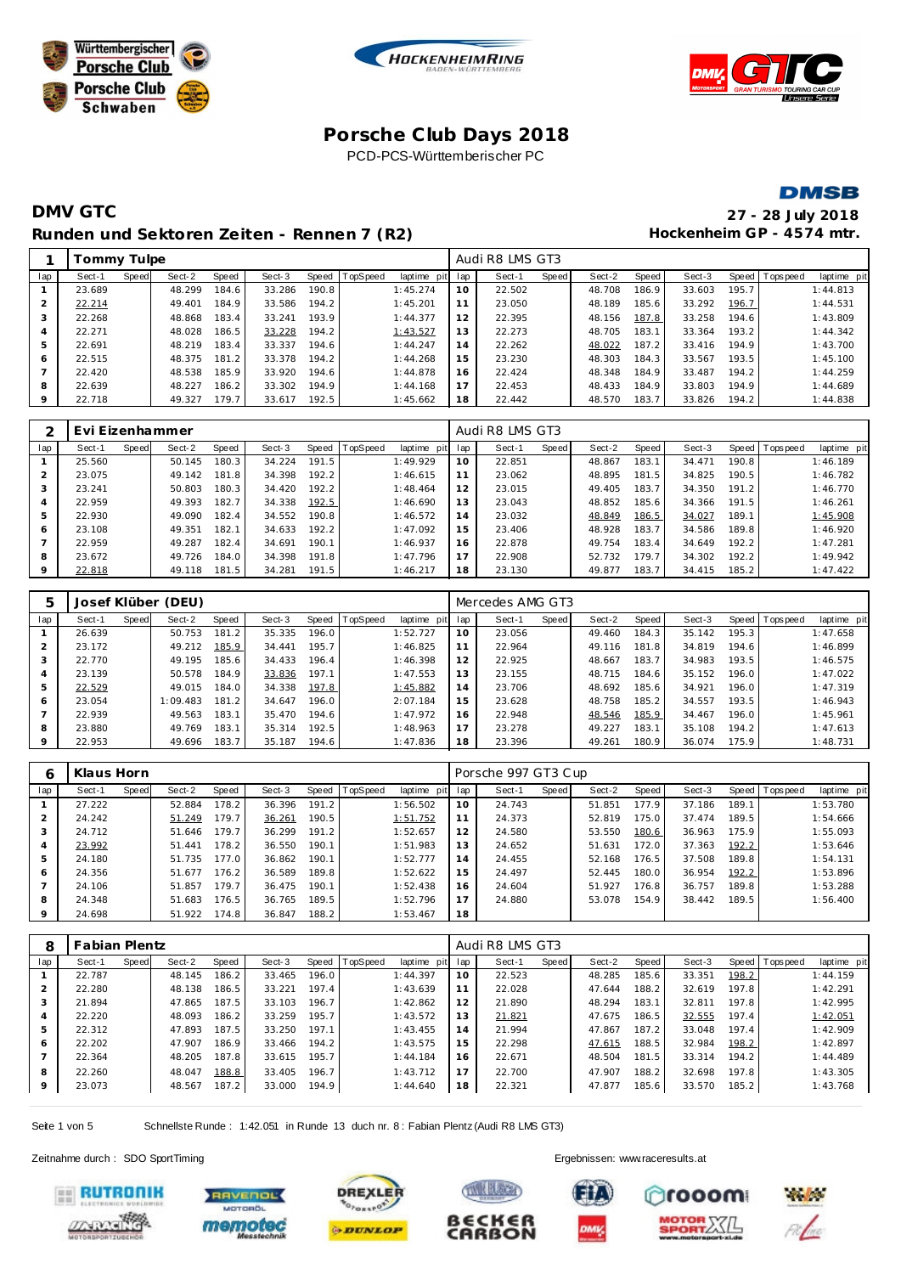







## **DMV GTC 27 - 28 July 2018** Runden und Sektoren Zeiten - Rennen 7 (R2) **Hockenheim GP** - 4574 mtr.

|         | Tommy Tulpe |       |        |       |        |       |          |             |     | Audi R8 LMS GT3 |       |        |       |        |       |                 |             |
|---------|-------------|-------|--------|-------|--------|-------|----------|-------------|-----|-----------------|-------|--------|-------|--------|-------|-----------------|-------------|
| lap     | Sect-1      | Speed | Sect-2 | Speed | Sect-3 | Speed | TopSpeed | laptime pit | lap | Sect-1          | Speed | Sect-2 | Speed | Sect-3 |       | Speed Tops peed | laptime pit |
|         | 23.689      |       | 48.299 | 184.6 | 33.286 | 190.8 |          | 1:45.274    | 10  | 22.502          |       | 48.708 | 186.9 | 33.603 | 195.7 |                 | 1:44.813    |
|         | 22.214      |       | 49.401 | 184.9 | 33.586 | 194.2 |          | 1:45.201    | 11  | 23.050          |       | 48.189 | 185.6 | 33.292 | 196.7 |                 | 1:44.531    |
| 3       | 22.268      |       | 48.868 | 183.4 | 33.241 | 193.9 |          | 1:44.377    | 12  | 22.395          |       | 48.156 | 187.8 | 33.258 | 194.6 |                 | 1:43.809    |
|         | 22.271      |       | 48.028 | 186.5 | 33.228 | 194.2 |          | 1:43.527    | 13  | 22.273          |       | 48.705 | 183.1 | 33.364 | 193.2 |                 | 1:44.342    |
| 5       | 22.691      |       | 48.219 | 183.4 | 33.337 | 194.6 |          | 1:44.247    | 14  | 22.262          |       | 48.022 | 187.2 | 33.416 | 194.9 |                 | 1:43.700    |
| 6       | 22.515      |       | 48.375 | 181.2 | 33.378 | 194.2 |          | 1:44.268    | 15  | 23.230          |       | 48.303 | 184.3 | 33.567 | 193.5 |                 | 1:45.100    |
|         | 22.420      |       | 48.538 | 185.9 | 33.920 | 194.6 |          | 1:44.878    | 16  | 22.424          |       | 48.348 | 184.9 | 33.487 | 194.2 |                 | 1:44.259    |
| 8       | 22.639      |       | 48.227 | 186.2 | 33.302 | 194.9 |          | 1:44.168    | 17  | 22.453          |       | 48.433 | 184.9 | 33.803 | 194.9 |                 | 1:44.689    |
| $\circ$ | 22.718      |       | 49.327 | 179.7 | 33.617 | 192.5 |          | 1:45.662    | 18  | 22.442          |       | 48.570 | 183.7 | 33.826 | 194.2 |                 | 1:44.838    |
|         |             |       |        |       |        |       |          |             |     |                 |       |        |       |        |       |                 |             |

|                | Evi Eizenhammer |       |        |       |        |       |          |             |     | Audi R8 LMS GT3 |       |        |       |        |              |           |             |
|----------------|-----------------|-------|--------|-------|--------|-------|----------|-------------|-----|-----------------|-------|--------|-------|--------|--------------|-----------|-------------|
| lap            | Sect-1          | Speed | Sect-2 | Speed | Sect-3 | Speed | TopSpeed | laptime pit | lap | Sect-1          | Speed | Sect-2 | Speed | Sect-3 | <b>Speed</b> | Tops peed | laptime pit |
|                | 25.560          |       | 50.145 | 180.3 | 34.224 | 191.5 |          | 1:49.929    | 10  | 22.851          |       | 48.867 | 183.1 | 34.471 | 190.8        |           | 1:46.189    |
| $\overline{2}$ | 23.075          |       | 49.142 | 181.8 | 34.398 | 192.2 |          | 1:46.615    | 11  | 23.062          |       | 48.895 | 181.5 | 34.825 | 190.5        |           | 1:46.782    |
|                | 23.241          |       | 50.803 | 180.3 | 34.420 | 192.2 |          | 1:48.464    | 12  | 23.015          |       | 49.405 | 183.7 | 34.350 | 191.2        |           | 1:46.770    |
| 4              | 22.959          |       | 49.393 | 182.7 | 34.338 | 192.5 |          | 1:46.690    | 13  | 23.043          |       | 48.852 | 185.6 | 34.366 | 191.5        |           | 1:46.261    |
| 5              | 22.930          |       | 49.090 | 182.4 | 34.552 | 190.8 |          | 1:46.572    | 14  | 23.032          |       | 48.849 | 186.5 | 34.027 | 189.1        |           | 1:45.908    |
| 6              | 23.108          |       | 49.351 | 182.1 | 34.633 | 192.2 |          | 1:47.092    | 15  | 23.406          |       | 48.928 | 183.7 | 34.586 | 189.8        |           | 1:46.920    |
|                | 22.959          |       | 49.287 | 182.4 | 34.691 | 190.1 |          | 1:46.937    | 16  | 22.878          |       | 49.754 | 183.4 | 34.649 | 192.2        |           | 1:47.281    |
| 8              | 23.672          |       | 49.726 | 184.0 | 34.398 | 191.8 |          | 1:47.796    | 17  | 22.908          |       | 52.732 | 179.7 | 34.302 | 192.2        |           | 1:49.942    |
| 9              | 22.818          |       | 49.118 | 181.5 | 34.281 | 191.5 |          | 1:46.217    | 18  | 23.130          |       | 49.877 | 183.7 | 34.415 | 185.2        |           | 1:47.422    |

| 5       |        |       | Josef Klüber (DEU) |       |        |       |                 |             |     | Mercedes AMG GT3 |       |        |       |        |        |                |             |
|---------|--------|-------|--------------------|-------|--------|-------|-----------------|-------------|-----|------------------|-------|--------|-------|--------|--------|----------------|-------------|
| lap     | Sect-1 | Speed | Sect-2             | Speed | Sect-3 | Speed | <b>TopSpeed</b> | laptime pit | lap | Sect-1           | Speed | Sect-2 | Speed | Sect-3 |        | Speed Topspeed | laptime pit |
|         | 26.639 |       | 50.753             | 181.2 | 35.335 | 196.0 |                 | 1:52.727    | 10  | 23.056           |       | 49.460 | 184.3 | 35.142 | 195.3  |                | 1:47.658    |
| 2       | 23.172 |       | 49.212             | 185.9 | 34.441 | 195.7 |                 | 1:46.825    |     | 22.964           |       | 49.116 | 181.8 | 34.819 | 194.6  |                | 1:46.899    |
| 3       | 22.770 |       | 49.195             | 185.6 | 34.433 | 196.4 |                 | 1:46.398    | 12  | 22.925           |       | 48.667 | 183.7 | 34.983 | 193.5  |                | 1:46.575    |
| 4       | 23.139 |       | 50.578             | 184.9 | 33.836 | 197.1 |                 | 1:47.553    | 13  | 23.155           |       | 48.715 | 184.6 | 35.152 | 196.0  |                | 1:47.022    |
| 5       | 22.529 |       | 49.015             | 184.0 | 34.338 | 197.8 |                 | 1:45.882    | 14  | 23.706           |       | 48.692 | 185.6 | 34.921 | 196.0  |                | 1:47.319    |
| 6       | 23.054 |       | 1:09.483           | 181.2 | 34.647 | 196.0 |                 | 2:07.184    | 15  | 23.628           |       | 48.758 | 185.2 | 34.557 | 193.51 |                | 1:46.943    |
|         | 22.939 |       | 49.563             | 183.1 | 35.470 | 194.6 |                 | 1:47.972    | 16  | 22.948           |       | 48.546 | 185.9 | 34.467 | 196.0  |                | 1:45.961    |
| 8       | 23.880 |       | 49.769             | 183.1 | 35.314 | 192.5 |                 | 1:48.963    | 17  | 23.278           |       | 49.227 | 183.1 | 35.108 | 194.2  |                | 1:47.613    |
| $\circ$ | 22.953 |       | 49.696             | 183.7 | 35.187 | 194.6 |                 | 1:47.836    | 18  | 23.396           |       | 49.261 | 180.9 | 36.074 | 175.9  |                | 1:48.731    |

| 6       | Klaus Horn |       |        |       |        |           |                 |             |     | Porsche 997 GT3 Cup |       |        |       |        |       |                |             |
|---------|------------|-------|--------|-------|--------|-----------|-----------------|-------------|-----|---------------------|-------|--------|-------|--------|-------|----------------|-------------|
| lap     | Sect-1     | Speed | Sect-2 | Speed | Sect-3 | Speed   T | <b>TopSpeed</b> | laptime pit | lap | Sect-1              | Speed | Sect-2 | Speed | Sect-3 |       | Speed Topspeed | laptime pit |
|         | 27.222     |       | 52.884 | 178.2 | 36.396 | 191.2     |                 | 1:56.502    | 10  | 24.743              |       | 51.851 | 177.9 | 37.186 | 189.1 |                | 1:53.780    |
|         | 24.242     |       | 51.249 | 179.7 | 36.261 | 190.5     |                 | 1:51.752    | 11  | 24.373              |       | 52.819 | 175.0 | 37.474 | 189.5 |                | 1:54.666    |
|         | 24.712     |       | 51.646 | 179.7 | 36.299 | 191.2     |                 | 1:52.657    | 12  | 24.580              |       | 53.550 | 180.6 | 36.963 | 175.9 |                | 1:55.093    |
|         | 23.992     |       | 51.441 | 178.2 | 36.550 | 190.1     |                 | 1:51.983    | 13  | 24.652              |       | 51.631 | 172.0 | 37.363 | 192.2 |                | 1:53.646    |
| 5       | 24.180     |       | 51.735 | 177.0 | 36.862 | 190.1     |                 | 1:52.777    | 14  | 24.455              |       | 52.168 | 176.5 | 37.508 | 189.8 |                | 1:54.131    |
| 6       | 24.356     |       | 51.677 | 176.2 | 36.589 | 189.8     |                 | 1:52.622    | 15  | 24.497              |       | 52.445 | 180.0 | 36.954 | 192.2 |                | 1:53.896    |
|         | 24.106     |       | 51.857 | 179.7 | 36.475 | 190.1     |                 | 1:52.438    | 16  | 24.604              |       | 51.927 | 176.8 | 36.757 | 189.8 |                | 1:53.288    |
| 8       | 24.348     |       | 51.683 | 176.5 | 36.765 | 189.5     |                 | 1:52.796    | 17  | 24.880              |       | 53.078 | 154.9 | 38.442 | 189.5 |                | 1:56.400    |
| $\circ$ | 24.698     |       | 51.922 | 174.8 | 36.847 | 188.2     |                 | 1:53.467    | 18  |                     |       |        |       |        |       |                |             |

| 8              | <b>Fabian Plentz</b> |       |        |       |        |       |                |             |     | Audi R8 LMS GT3 |       |        |       |        |       |                |             |
|----------------|----------------------|-------|--------|-------|--------|-------|----------------|-------------|-----|-----------------|-------|--------|-------|--------|-------|----------------|-------------|
| lap            | Sect-1               | Speed | Sect-2 | Speed | Sect-3 |       | Speed TopSpeed | laptime pit | lap | Sect-1          | Speed | Sect-2 | Speed | Sect-3 |       | Speed Topspeed | laptime pit |
|                | 22.787               |       | 48.145 | 186.2 | 33.465 | 196.0 |                | 1:44.397    | 10  | 22.523          |       | 48.285 | 185.6 | 33.351 | 198.2 |                | 1:44.159    |
|                | 22.280               |       | 48.138 | 186.5 | 33.221 | 197.4 |                | 1:43.639    | 11  | 22.028          |       | 47.644 | 188.2 | 32.619 | 197.8 |                | 1:42.291    |
| 3              | 21.894               |       | 47.865 | 187.5 | 33.103 | 196.7 |                | 1:42.862    | 12  | 21.890          |       | 48.294 | 183.1 | 32.811 | 197.8 |                | 1:42.995    |
| $\overline{4}$ | 22.220               |       | 48.093 | 186.2 | 33.259 | 195.7 |                | 1:43.572    | 13  | 21.821          |       | 47.675 | 186.5 | 32.555 | 197.4 |                | 1:42.051    |
| 5              | 22.312               |       | 47.893 | 187.5 | 33.250 | 197.1 |                | 1:43.455    | 14  | 21.994          |       | 47.867 | 187.2 | 33.048 | 197.4 |                | 1:42.909    |
| 6              | 22.202               |       | 47.907 | 186.9 | 33.466 | 194.2 |                | 1:43.575    | 15  | 22.298          |       | 47.615 | 188.5 | 32.984 | 198.2 |                | 1:42.897    |
|                | 22.364               |       | 48.205 | 187.8 | 33.615 | 195.7 |                | 1:44.184    | 16  | 22.671          |       | 48.504 | 181.5 | 33.314 | 194.2 |                | 1:44.489    |
| 8              | 22.260               |       | 48.047 | 188.8 | 33.405 | 196.7 |                | 1:43.712    | 17  | 22.700          |       | 47.907 | 188.2 | 32.698 | 197.8 |                | 1:43.305    |
| 9              | 23.073               |       | 48.567 | 187.2 | 33.000 | 194.9 |                | 1:44.640    | 18  | 22.321          |       | 47.877 | 185.6 | 33.570 | 185.2 |                | 1:43.768    |

Seite 1 von 5 Schnellste Runde : 1:42.051 in Runde 13 duch nr. 8 : Fabian Plentz (Audi R8 LMS GT3)

Zeitnahme durch : SDO SportTiming Ergebnissen: [www.raceresults.a](www.raceresults.at)t









CARBON



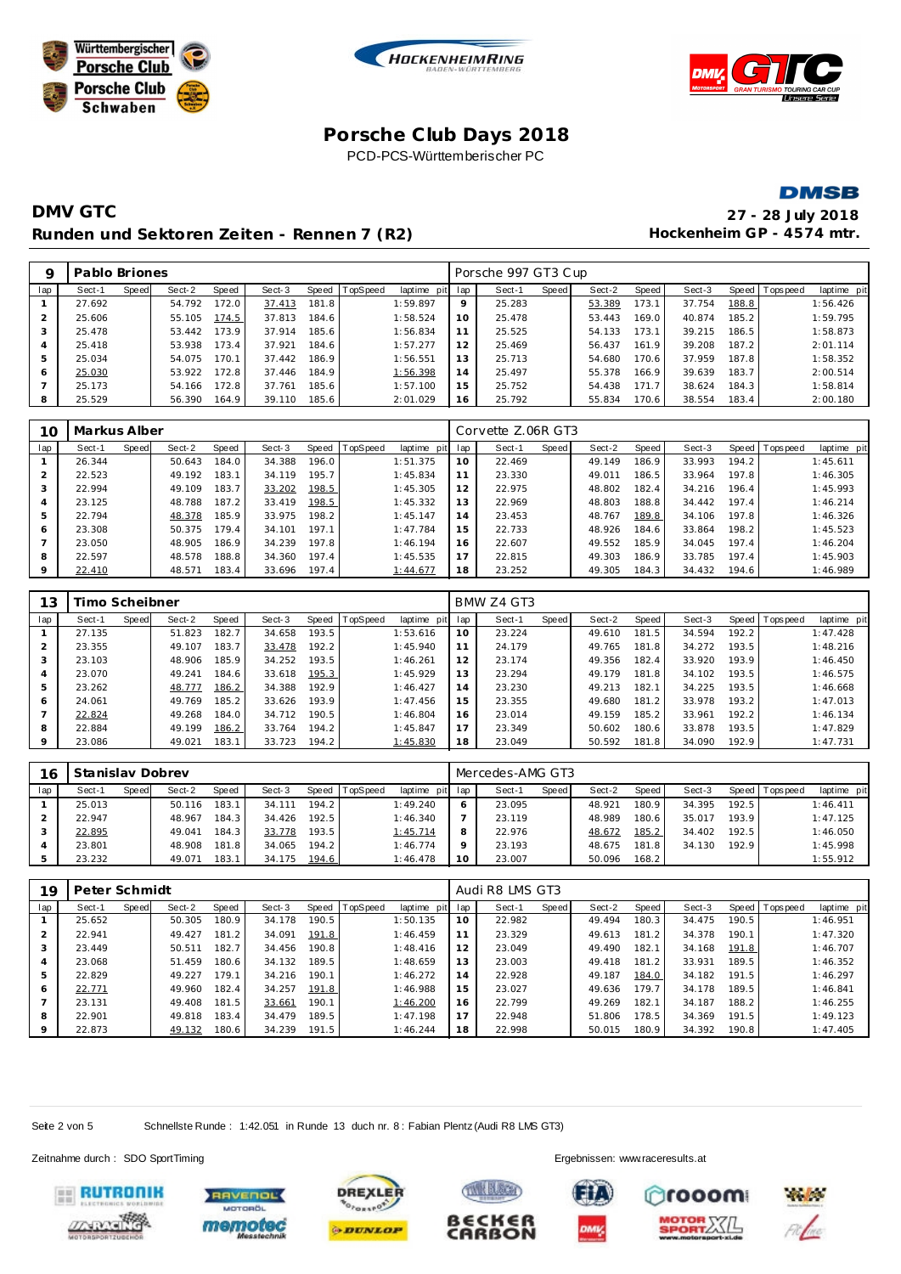







## **DMV GTC 27 - 28 July 2018** Runden und Sektoren Zeiten - Rennen 7 (R2) **Hockenheim GP** - 4574 mtr.

| Q              | Pablo Briones |       |        |       |        |       |                |                 |    | Porsche 997 GT3 Cup |       |        |       |        |       |                |             |
|----------------|---------------|-------|--------|-------|--------|-------|----------------|-----------------|----|---------------------|-------|--------|-------|--------|-------|----------------|-------------|
| lap            | Sect-1        | Speed | Sect-2 | Speed | Sect-3 |       | Speed TopSpeed | laptime pit lap |    | Sect-1              | Speed | Sect-2 | Speed | Sect-3 |       | Speed Topspeed | laptime pit |
|                | 27.692        |       | 54.792 | 172.0 | 37.413 | 181.8 |                | 1:59.897        | 9  | 25.283              |       | 53.389 | 173.1 | 37.754 | 188.8 |                | 1:56.426    |
| $\overline{2}$ | 25.606        |       | 55.105 | 174.5 | 37.813 | 184.6 |                | 1:58.524        | 10 | 25.478              |       | 53.443 | 169.0 | 40.874 | 185.2 |                | 1:59.795    |
| 3              | 25.478        |       | 53.442 | 173.9 | 37.914 | 185.6 |                | 1:56.834        | 11 | 25.525              |       | 54.133 | 173.1 | 39.215 | 186.5 |                | 1:58.873    |
| $\overline{4}$ | 25.418        |       | 53.938 | 173.4 | 37.921 | 184.6 |                | 1:57.277        | 12 | 25.469              |       | 56.437 | 161.9 | 39.208 | 187.2 |                | 2:01.114    |
| 5              | 25.034        |       | 54.075 | 170.1 | 37.442 | 186.9 |                | 1:56.551        | 13 | 25.713              |       | 54.680 | 170.6 | 37.959 | 187.8 |                | 1:58.352    |
| 6              | 25.030        |       | 53.922 | 172.8 | 37.446 | 184.9 |                | 1:56.398        | 14 | 25.497              |       | 55.378 | 166.9 | 39.639 | 183.7 |                | 2:00.514    |
|                | 25.173        |       | 54.166 | 172.8 | 37.761 | 185.6 |                | 1:57.100        | 15 | 25.752              |       | 54.438 | 171.7 | 38.624 | 184.3 |                | 1:58.814    |
| 8              | 25.529        |       | 56.390 | 164.9 | 39.110 | 185.6 |                | 2:01.029        | 16 | 25.792              |       | 55.834 | 170.6 | 38.554 | 183.4 |                | 2:00.180    |

| 10      | Markus Alber |       |        |       |        |       |          |             |     | Corvette Z.06R GT3 |       |        |       |        |       |                |             |
|---------|--------------|-------|--------|-------|--------|-------|----------|-------------|-----|--------------------|-------|--------|-------|--------|-------|----------------|-------------|
| lap     | Sect-1       | Speed | Sect-2 | Speed | Sect-3 | Speed | TopSpeed | laptime pit | lap | Sect-1             | Speed | Sect-2 | Speed | Sect-3 |       | Speed Topspeed | laptime pit |
|         | 26.344       |       | 50.643 | 184.0 | 34.388 | 196.0 |          | 1:51.375    | 10  | 22.469             |       | 49.149 | 186.9 | 33.993 | 194.2 |                | 1:45.611    |
|         | 22.523       |       | 49.192 | 183.1 | 34.119 | 195.7 |          | 1:45.834    | 11  | 23.330             |       | 49.011 | 186.5 | 33.964 | 197.8 |                | 1:46.305    |
| 3       | 22.994       |       | 49.109 | 183.7 | 33.202 | 198.5 |          | 1:45.305    | 12  | 22.975             |       | 48.802 | 182.4 | 34.216 | 196.4 |                | 1:45.993    |
| 4       | 23.125       |       | 48.788 | 187.2 | 33.419 | 198.5 |          | 1:45.332    | 13  | 22.969             |       | 48.803 | 188.8 | 34.442 | 197.4 |                | 1:46.214    |
| 5       | 22.794       |       | 48.378 | 185.9 | 33.975 | 198.2 |          | 1:45.147    | 14  | 23.453             |       | 48.767 | 189.8 | 34.106 | 197.8 |                | 1:46.326    |
| 6       | 23.308       |       | 50.375 | 179.4 | 34.101 | 197.1 |          | 1:47.784    | 15  | 22.733             |       | 48.926 | 184.6 | 33.864 | 198.2 |                | 1:45.523    |
|         | 23.050       |       | 48.905 | 186.9 | 34.239 | 197.8 |          | 1:46.194    | 16  | 22.607             |       | 49.552 | 185.9 | 34.045 | 197.4 |                | 1:46.204    |
| 8       | 22.597       |       | 48.578 | 188.8 | 34.360 | 197.4 |          | 1:45.535    | 17  | 22.815             |       | 49.303 | 186.9 | 33.785 | 197.4 |                | 1:45.903    |
| $\circ$ | 22.410       |       | 48.571 | 183.4 | 33.696 | 197.4 |          | 1:44.677    | 18  | 23.252             |       | 49.305 | 184.3 | 34.432 | 194.6 |                | 1:46.989    |

| 13  | Timo Scheibner |       |        |       |        |       |                 |             |     | BMW Z4 GT3 |       |        |       |        |       |                |             |
|-----|----------------|-------|--------|-------|--------|-------|-----------------|-------------|-----|------------|-------|--------|-------|--------|-------|----------------|-------------|
| lap | Sect-1         | Speed | Sect-2 | Speed | Sect-3 | Speed | <b>TopSpeed</b> | laptime pit | lap | Sect-1     | Speed | Sect-2 | Speed | Sect-3 |       | Speed Topspeed | laptime pit |
|     | 27.135         |       | 51.823 | 182.7 | 34.658 | 193.5 |                 | 1:53.616    | 10  | 23.224     |       | 49.610 | 181.5 | 34.594 | 192.2 |                | 1:47.428    |
| 2   | 23.355         |       | 49.107 | 183.7 | 33.478 | 192.2 |                 | 1:45.940    | 11  | 24.179     |       | 49.765 | 181.8 | 34.272 | 193.5 |                | 1:48.216    |
| 3   | 23.103         |       | 48.906 | 185.9 | 34.252 | 193.5 |                 | 1:46.261    | 12  | 23.174     |       | 49.356 | 182.4 | 33.920 | 193.9 |                | 1:46.450    |
| 4   | 23.070         |       | 49.241 | 184.6 | 33.618 | 195.3 |                 | 1:45.929    | 13  | 23.294     |       | 49.179 | 181.8 | 34.102 | 193.5 |                | 1:46.575    |
| 5   | 23.262         |       | 48.777 | 186.2 | 34.388 | 192.9 |                 | 1:46.427    | 14  | 23.230     |       | 49.213 | 182.1 | 34.225 | 193.5 |                | 1:46.668    |
| 6   | 24.061         |       | 49.769 | 185.2 | 33.626 | 193.9 |                 | 1:47.456    | 15  | 23.355     |       | 49.680 | 181.2 | 33.978 | 193.2 |                | 1:47.013    |
|     | 22.824         |       | 49.268 | 184.0 | 34.712 | 190.5 |                 | 1:46.804    | 16  | 23.014     |       | 49.159 | 185.2 | 33.961 | 192.2 |                | 1:46.134    |
| 8   | 22.884         |       | 49.199 | 186.2 | 33.764 | 194.2 |                 | 1:45.847    | 17  | 23.349     |       | 50.602 | 180.6 | 33.878 | 193.5 |                | 1:47.829    |
| 9   | 23.086         |       | 49.021 | 183.1 | 33.723 | 194.2 |                 | 1:45.830    | 18  | 23.049     |       | 50.592 | 181.8 | 34.090 | 192.9 |                | 1:47.731    |

| 16  | Stanislav Dobrev |       |        |       |        |                    |                |                 |    | Mercedes-AMG GT3 |       |        |       |        |       |            |             |
|-----|------------------|-------|--------|-------|--------|--------------------|----------------|-----------------|----|------------------|-------|--------|-------|--------|-------|------------|-------------|
| lap | Sect-1           | Speed | Sect-2 | Speed | Sect-3 |                    | Speed TopSpeed | laptime pit lap |    | Sect-1           | Speed | Sect-2 | Speed | Sect-3 | Speed | Tops pee d | laptime pit |
|     | 25.013           |       | 50.116 | 183.1 | 34.111 | 194.2 <sub>1</sub> |                | 1:49.240        | O  | 23.095           |       | 48.921 | 180.9 | 34.395 | 192.5 |            | 1:46.411    |
|     | 22.947           |       | 48.967 | 184.3 | 34.426 | 192.5              |                | 1:46.340        |    | 23.119           |       | 48.989 | 180.6 | 35.017 | 193.9 |            | 1:47.125    |
|     | 22.895           |       | 49.041 | 184.3 | 33.778 | 193.5              |                | 1:45.714        | 8  | 22.976           |       | 48.672 | 185.2 | 34.402 | 192.5 |            | 1:46.050    |
|     | 23.801           |       | 48.908 | 181.8 | 34.065 | 194.2              |                | 1:46.774        |    | 23.193           |       | 48.675 | 181.8 | 34.130 | 192.9 |            | 1:45.998    |
|     | 23.232           |       | 49.071 | 183.1 | 34.175 | 194.6              |                | 1:46.478        | 10 | 23.007           |       | 50.096 | 168.2 |        |       |            | 1:55.912    |

| 19      | Peter Schmidt |       |        |       |        |       |                |                 |    | Audi R8 LMS GT3 |       |        |       |        |       |                |             |
|---------|---------------|-------|--------|-------|--------|-------|----------------|-----------------|----|-----------------|-------|--------|-------|--------|-------|----------------|-------------|
| lap     | Sect-1        | Speed | Sect-2 | Speed | Sect-3 |       | Speed TopSpeed | laptime pit lap |    | Sect-1          | Speed | Sect-2 | Speed | Sect-3 |       | Speed Topspeed | laptime pit |
|         | 25.652        |       | 50.305 | 180.9 | 34.178 | 190.5 |                | 1:50.135        | 10 | 22.982          |       | 49.494 | 180.3 | 34.475 | 190.5 |                | 1:46.951    |
|         | 22.941        |       | 49.427 | 181.2 | 34.091 | 191.8 |                | 1:46.459        | 11 | 23.329          |       | 49.613 | 181.2 | 34.378 | 190.1 |                | 1:47.320    |
|         | 23.449        |       | 50.511 | 182.7 | 34.456 | 190.8 |                | 1:48.416        | 12 | 23.049          |       | 49.490 | 182.1 | 34.168 | 191.8 |                | 1:46.707    |
|         | 23.068        |       | 51.459 | 180.6 | 34.132 | 189.5 |                | 1:48.659        | 13 | 23.003          |       | 49.418 | 181.2 | 33.931 | 189.5 |                | 1:46.352    |
|         | 22.829        |       | 49.227 | 179.1 | 34.216 | 190.1 |                | 1:46.272        | 14 | 22.928          |       | 49.187 | 184.0 | 34.182 | 191.5 |                | 1:46.297    |
| 6       | 22.771        |       | 49.960 | 182.4 | 34.257 | 191.8 |                | 1:46.988        | 15 | 23.027          |       | 49.636 | 179.7 | 34.178 | 189.5 |                | 1:46.841    |
|         | 23.131        |       | 49.408 | 181.5 | 33.661 | 190.1 |                | 1:46.200        | 16 | 22.799          |       | 49.269 | 182.1 | 34.187 | 188.2 |                | 1:46.255    |
| 8       | 22.901        |       | 49.818 | 183.4 | 34.479 | 189.5 |                | 1:47.198        | 17 | 22.948          |       | 51.806 | 178.5 | 34.369 | 191.5 |                | 1:49.123    |
| $\circ$ | 22.873        |       | 49.132 | 180.6 | 34.239 | 191.5 |                | 1:46.244        | 18 | 22.998          |       | 50.015 | 180.9 | 34.392 | 190.8 |                | 1:47.405    |

**TIME BLOCK** 

BECKER

**CARBON** 

Seite 2 von 5 Schnellste Runde : 1:42.051 in Runde 13 duch nr. 8 : Fabian Plentz (Audi R8 LMS GT3)

Zeitnahme durch : SDO SportTiming Ergebnissen: [www.raceresults.a](www.raceresults.at)t











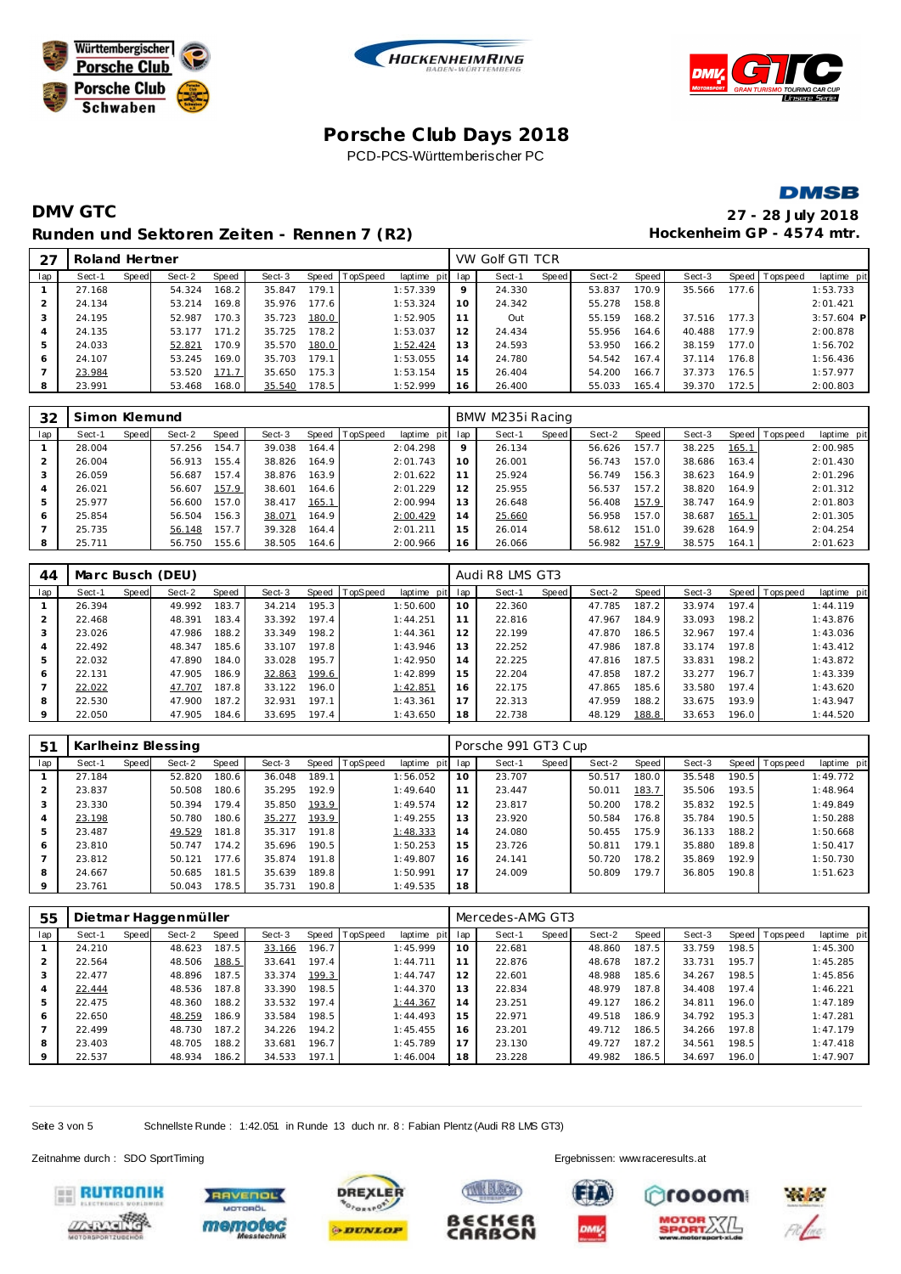







## **DMV GTC 27 - 28 July 2018** Runden und Sektoren Zeiten - Rennen 7 (R2) **Hockenheim GP** - 4574 mtr.

| 27             | Roland Hertner |       |        |       |        |       |          |                 |    | VW Golf GTI TCR |       |        |       |        |       |                |              |
|----------------|----------------|-------|--------|-------|--------|-------|----------|-----------------|----|-----------------|-------|--------|-------|--------|-------|----------------|--------------|
| lap            | Sect-1         | Speed | Sect-2 | Speed | Sect-3 | Speed | TopSpeed | laptime pit lap |    | Sect-1          | Speed | Sect-2 | Speed | Sect-3 |       | Speed Topspeed | laptime pit  |
|                | 27.168         |       | 54.324 | 168.2 | 35.847 | 179.1 |          | 1:57.339        | 9  | 24.330          |       | 53.837 | 170.9 | 35.566 | 177.6 |                | 1:53.733     |
|                | 24.134         |       | 53.214 | 169.8 | 35.976 | 177.6 |          | 1:53.324        | 10 | 24.342          |       | 55.278 | 158.8 |        |       |                | 2:01.421     |
| 3              | 24.195         |       | 52.987 | 170.3 | 35.723 | 180.0 |          | 1:52.905        |    | Out             |       | 55.159 | 168.2 | 37.516 | 177.3 |                | $3:57.604$ P |
| $\overline{4}$ | 24.135         |       | 53.177 | 171.2 | 35.725 | 178.2 |          | 1:53.037        | 12 | 24.434          |       | 55.956 | 164.6 | 40.488 | 177.9 |                | 2:00.878     |
| 5              | 24.033         |       | 52.821 | 170.9 | 35.570 | 180.0 |          | 1:52.424        | 13 | 24.593          |       | 53.950 | 166.2 | 38.159 | 177.0 |                | 1:56.702     |
| 6              | 24.107         |       | 53.245 | 169.0 | 35.703 | 179.1 |          | 1:53.055        | 14 | 24.780          |       | 54.542 | 167.4 | 37.114 | 176.8 |                | 1:56.436     |
|                | 23.984         |       | 53.520 | 171.7 | 35.650 | 175.3 |          | 1:53.154        | 15 | 26.404          |       | 54.200 | 166.7 | 37.373 | 176.5 |                | 1:57.977     |
| 8              | 23.991         |       | 53.468 | 168.0 | 35.540 | 178.5 |          | 1:52.999        | 16 | 26.400          |       | 55.033 | 165.4 | 39.370 | 172.5 |                | 2:00.803     |
|                |                |       |        |       |        |       |          |                 |    |                 |       |        |       |        |       |                |              |

| 32  | Simon Klemund |       |        |       |        |         |          |             |     | BMW M235i Racing |       |        |       |        |       |                 |             |
|-----|---------------|-------|--------|-------|--------|---------|----------|-------------|-----|------------------|-------|--------|-------|--------|-------|-----------------|-------------|
| lap | Sect-1        | Speed | Sect-2 | Speed | Sect-3 | Speed l | TopSpeed | laptime pit | lap | Sect-1           | Speed | Sect-2 | Speed | Sect-3 |       | Speed Tops peed | laptime pit |
|     | 28.004        |       | 57.256 | 154.7 | 39.038 | 164.4   |          | 2:04.298    | 9   | 26.134           |       | 56.626 | 157.7 | 38.225 | 165.1 |                 | 2:00.985    |
|     | 26.004        |       | 56.913 | 155.4 | 38.826 | 164.9   |          | 2:01.743    | 10  | 26.001           |       | 56.743 | 157.0 | 38.686 | 163.4 |                 | 2:01.430    |
|     | 26.059        |       | 56.687 | 157.4 | 38.876 | 163.9   |          | 2:01.622    | 11  | 25.924           |       | 56.749 | 156.3 | 38.623 | 164.9 |                 | 2:01.296    |
| 4   | 26.021        |       | 56.607 | 157.9 | 38.601 | 164.6   |          | 2:01.229    | 12  | 25.955           |       | 56.537 | 157.2 | 38.820 | 164.9 |                 | 2:01.312    |
| 5   | 25.977        |       | 56.600 | 157.0 | 38.417 | 165.1   |          | 2:00.994    | 13  | 26.648           |       | 56.408 | 157.9 | 38.747 | 164.9 |                 | 2:01.803    |
| 6   | 25.854        |       | 56.504 | 156.3 | 38.071 | 164.9   |          | 2:00.429    | 14  | 25.660           |       | 56.958 | 157.0 | 38.687 | 165.1 |                 | 2:01.305    |
|     | 25.735        |       | 56.148 | 157.7 | 39.328 | 164.4   |          | 2:01.211    | 15  | 26.014           |       | 58.612 | 151.0 | 39.628 | 164.9 |                 | 2:04.254    |
| 8   | 25.711        |       | 56.750 | 155.6 | 38.505 | 164.6   |          | 2:00.966    | 16  | 26.066           |       | 56.982 | 157.9 | 38.575 | 164.1 |                 | 2:01.623    |

| 44          |        |       | Marc Busch (DEU) |       |        |       |                |             |     | Audi R8 LMS GT3 |       |        |                    |        |       |                   |             |
|-------------|--------|-------|------------------|-------|--------|-------|----------------|-------------|-----|-----------------|-------|--------|--------------------|--------|-------|-------------------|-------------|
| lap         | Sect-1 | Speed | Sect-2           | Speed | Sect-3 |       | Speed TopSpeed | laptime pit | lap | Sect-1          | Speed | Sect-2 | Speed I            | Sect-3 |       | Speed   Tops peed | laptime pit |
|             | 26.394 |       | 49.992           | 183.7 | 34.214 | 195.3 |                | 1:50.600    | 10  | 22.360          |       | 47.785 | 187.2 <sub>1</sub> | 33.974 | 197.4 |                   | 1:44.119    |
| 2           | 22.468 |       | 48.391           | 183.4 | 33.392 | 197.4 |                | 1:44.251    | 11  | 22.816          |       | 47.967 | 184.9              | 33.093 | 198.2 |                   | 1:43.876    |
| 3           | 23.026 |       | 47.986           | 188.2 | 33.349 | 198.2 |                | 1:44.361    | 12  | 22.199          |       | 47.870 | 186.5              | 32.967 | 197.4 |                   | 1:43.036    |
| 4           | 22.492 |       | 48.347           | 185.6 | 33.107 | 197.8 |                | 1:43.946    | 13  | 22.252          |       | 47.986 | 187.8              | 33.174 | 197.8 |                   | 1:43.412    |
| 5           | 22.032 |       | 47.890           | 184.0 | 33.028 | 195.7 |                | 1:42.950    | 14  | 22.225          |       | 47.816 | 187.5              | 33.831 | 198.2 |                   | 1:43.872    |
| 6           | 22.131 |       | 47.905           | 186.9 | 32.863 | 199.6 |                | 1:42.899    | 15  | 22.204          |       | 47.858 | 187.2              | 33.277 | 196.7 |                   | 1:43.339    |
|             | 22.022 |       | 47.707           | 187.8 | 33.122 | 196.0 |                | 1:42.851    | 16  | 22.175          |       | 47.865 | 185.6              | 33.580 | 197.4 |                   | 1:43.620    |
| 8           | 22.530 |       | 47.900           | 187.2 | 32.931 | 197.1 |                | 1:43.361    | 17  | 22.313          |       | 47.959 | 188.2              | 33.675 | 193.9 |                   | 1:43.947    |
| $\mathsf Q$ | 22.050 |       | 47.905           | 184.6 | 33.695 | 197.4 |                | 1:43.650    | 18  | 22.738          |       | 48.129 | 188.8              | 33.653 | 196.0 |                   | 1:44.520    |

| 51      |        |       | Karlheinz Blessing |       |        |       |                |             |     | Porsche 991 GT3 Cup |       |        |       |        |       |                |             |
|---------|--------|-------|--------------------|-------|--------|-------|----------------|-------------|-----|---------------------|-------|--------|-------|--------|-------|----------------|-------------|
| lap     | Sect-1 | Speed | Sect-2             | Speed | Sect-3 |       | Speed TopSpeed | laptime pit | lap | Sect-1              | Speed | Sect-2 | Speed | Sect-3 |       | Speed Topspeed | laptime pit |
|         | 27.184 |       | 52.820             | 180.6 | 36.048 | 189.1 |                | 1:56.052    | 10  | 23.707              |       | 50.517 | 180.0 | 35.548 | 190.5 |                | 1:49.772    |
|         | 23.837 |       | 50.508             | 180.6 | 35.295 | 192.9 |                | 1:49.640    | 11  | 23.447              |       | 50.011 | 183.7 | 35.506 | 193.5 |                | 1:48.964    |
| చ       | 23.330 |       | 50.394             | 179.4 | 35.850 | 193.9 |                | 1:49.574    | 12  | 23.817              |       | 50.200 | 178.2 | 35.832 | 192.5 |                | 1:49.849    |
|         | 23.198 |       | 50.780             | 180.6 | 35.277 | 193.9 |                | 1:49.255    | 13  | 23.920              |       | 50.584 | 176.8 | 35.784 | 190.5 |                | 1:50.288    |
| 5       | 23.487 |       | 49.529             | 181.8 | 35.317 | 191.8 |                | 1:48.333    | 14  | 24.080              |       | 50.455 | 175.9 | 36.133 | 188.2 |                | 1:50.668    |
| 6       | 23.810 |       | 50.747             | 174.2 | 35.696 | 190.5 |                | 1:50.253    | 15  | 23.726              |       | 50.811 | 179.1 | 35.880 | 189.8 |                | 1:50.417    |
|         | 23.812 |       | 50.121             | 177.6 | 35.874 | 191.8 |                | 1:49.807    | 16  | 24.141              |       | 50.720 | 178.2 | 35.869 | 192.9 |                | 1:50.730    |
| 8       | 24.667 |       | 50.685             | 181.5 | 35.639 | 189.8 |                | 1:50.991    | 17  | 24.009              |       | 50.809 | 179.7 | 36.805 | 190.8 |                | 1:51.623    |
| $\circ$ | 23.761 |       | 50.043             | 178.5 | 35.731 | 190.8 |                | 1:49.535    | 18  |                     |       |        |       |        |       |                |             |

| 55             |        |       | Dietmar Haggenmüller |       |        |       |                |             |     | Mercedes-AMG GT3 |       |        |       |        |       |                 |             |
|----------------|--------|-------|----------------------|-------|--------|-------|----------------|-------------|-----|------------------|-------|--------|-------|--------|-------|-----------------|-------------|
| lap            | Sect-1 | Speed | Sect-2               | Speed | Sect-3 |       | Speed TopSpeed | laptime pit | lap | Sect-1           | Speed | Sect-2 | Speed | Sect-3 |       | Speed Tops peed | laptime pit |
|                | 24.210 |       | 48.623               | 187.5 | 33.166 | 196.7 |                | 1:45.999    | 10  | 22.681           |       | 48.860 | 187.5 | 33.759 | 198.5 |                 | 1:45.300    |
| 2              | 22.564 |       | 48.506               | 188.5 | 33.641 | 197.4 |                | 1:44.711    | 11  | 22.876           |       | 48.678 | 187.2 | 33.731 | 195.7 |                 | 1:45.285    |
| 3              | 22.477 |       | 48.896               | 187.5 | 33.374 | 199.3 |                | 1:44.747    | 12  | 22.601           |       | 48.988 | 185.6 | 34.267 | 198.5 |                 | 1:45.856    |
| $\overline{4}$ | 22.444 |       | 48.536               | 187.8 | 33.390 | 198.5 |                | 1:44.370    | 13  | 22.834           |       | 48.979 | 187.8 | 34.408 | 197.4 |                 | 1:46.221    |
| 5              | 22.475 |       | 48.360               | 188.2 | 33.532 | 197.4 |                | 1:44.367    | 14  | 23.251           |       | 49.127 | 186.2 | 34.811 | 196.0 |                 | 1:47.189    |
| 6              | 22.650 |       | 48.259               | 186.9 | 33.584 | 198.5 |                | 1:44.493    | 15  | 22.971           |       | 49.518 | 186.9 | 34.792 | 195.3 |                 | 1:47.281    |
|                | 22.499 |       | 48.730               | 187.2 | 34.226 | 194.2 |                | 1:45.455    | 16  | 23.201           |       | 49.712 | 186.5 | 34.266 | 197.8 |                 | 1:47.179    |
| 8              | 23.403 |       | 48.705               | 188.2 | 33.681 | 196.7 |                | 1:45.789    | 17  | 23.130           |       | 49.727 | 187.2 | 34.561 | 198.5 |                 | 1:47.418    |
| 9              | 22.537 |       | 48.934               | 186.2 | 34.533 | 197.1 |                | 1:46.004    | 18  | 23.228           |       | 49.982 | 186.5 | 34.697 | 196.0 |                 | 1:47.907    |

**TWN BLECK** 

∈CK∈ſ

**CARBON** 

ß

Seite 3 von 5 Schnellste Runde : 1:42.051 in Runde 13 duch nr. 8 : Fabian Plentz (Audi R8 LMS GT3)

Zeitnahme durch : SDO SportTiming Ergebnissen: [www.raceresults.a](www.raceresults.at)t











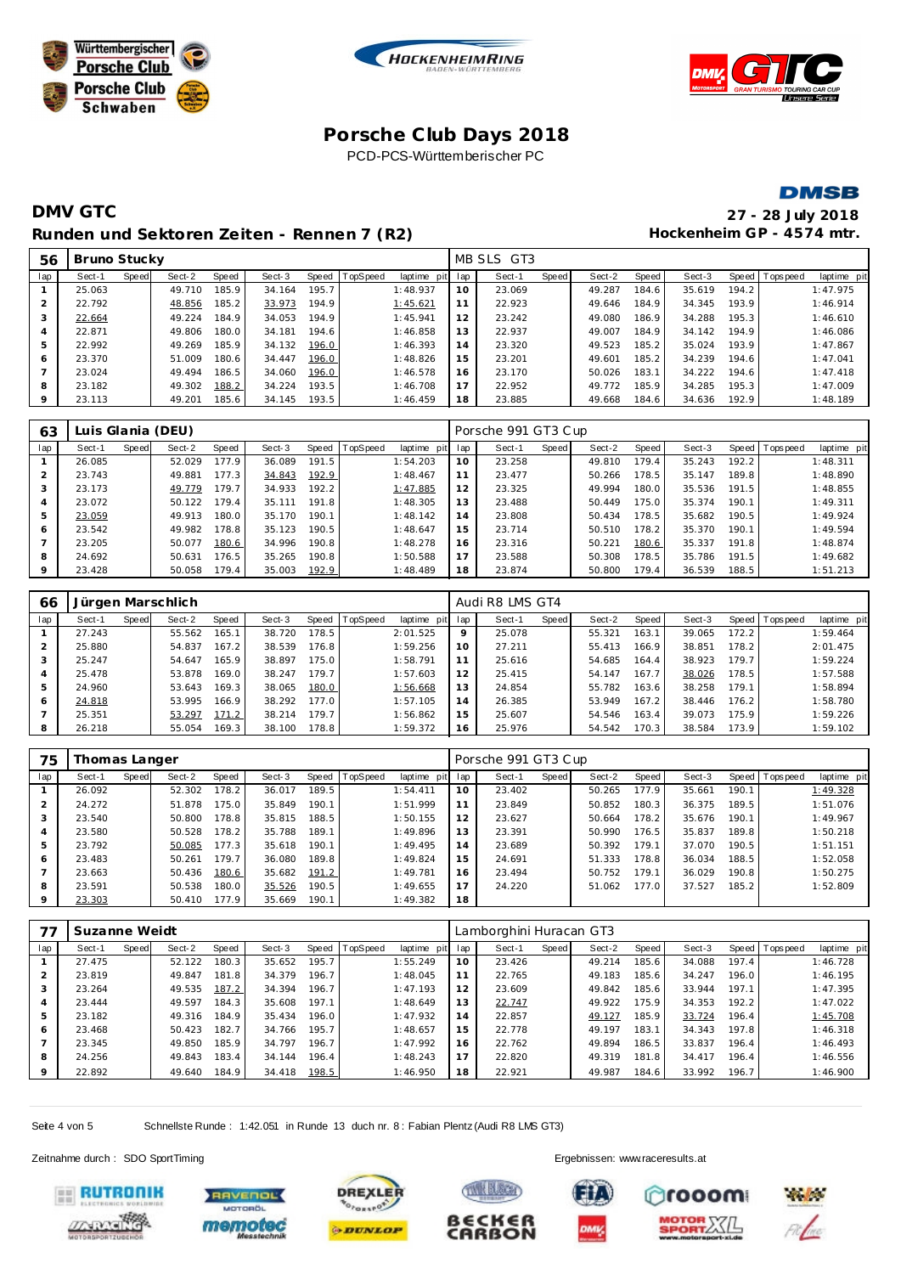







# **DMV GTC 27 - 28 July 2018** Runden und Sektoren Zeiten - Rennen 7 (R2) **Hockenheim GP** - 4574 mtr.

| 56      | Bruno Stucky<br>Speed   TopSpeed<br>Sect-2<br>Speed<br>Speed<br>Sect-3<br>Sect-1 |  |        |       |        |       |  |             |     | MB SLS GT3 |       |        |       |        |       |                 |             |
|---------|----------------------------------------------------------------------------------|--|--------|-------|--------|-------|--|-------------|-----|------------|-------|--------|-------|--------|-------|-----------------|-------------|
| lap     |                                                                                  |  |        |       |        |       |  | laptime pit | lap | Sect-1     | Speed | Sect-2 | Speed | Sect-3 |       | Speed Tops peed | laptime pit |
|         | 25.063                                                                           |  | 49.710 | 185.9 | 34.164 | 195.7 |  | 1:48.937    | 10  | 23.069     |       | 49.287 | 184.6 | 35.619 | 194.2 |                 | 1:47.975    |
|         | 22.792                                                                           |  | 48.856 | 185.2 | 33.973 | 194.9 |  | 1:45.621    | 11  | 22.923     |       | 49.646 | 184.9 | 34.345 | 193.9 |                 | 1:46.914    |
| 3       | 22.664                                                                           |  | 49.224 | 184.9 | 34.053 | 194.9 |  | 1:45.941    | 12  | 23.242     |       | 49.080 | 186.9 | 34.288 | 195.3 |                 | 1:46.610    |
| 4       | 22.871                                                                           |  | 49.806 | 180.0 | 34.181 | 194.6 |  | 1:46.858    | 13  | 22.937     |       | 49.007 | 184.9 | 34.142 | 194.9 |                 | 1:46.086    |
| 5       | 22.992                                                                           |  | 49.269 | 185.9 | 34.132 | 196.0 |  | 1:46.393    | 14  | 23.320     |       | 49.523 | 185.2 | 35.024 | 193.9 |                 | 1:47.867    |
| 6       | 23.370                                                                           |  | 51.009 | 180.6 | 34.447 | 196.0 |  | 1:48.826    | 15  | 23.201     |       | 49.601 | 185.2 | 34.239 | 194.6 |                 | 1:47.041    |
|         | 23.024                                                                           |  | 49.494 | 186.5 | 34.060 | 196.0 |  | 1:46.578    | 16  | 23.170     |       | 50.026 | 183.1 | 34.222 | 194.6 |                 | 1:47.418    |
| 8       | 23.182                                                                           |  | 49.302 | 188.2 | 34.224 | 193.5 |  | 1:46.708    | 17  | 22.952     |       | 49.772 | 185.9 | 34.285 | 195.3 |                 | 1:47.009    |
| $\circ$ | 23.113                                                                           |  | 49.201 | 185.6 | 34.145 | 193.5 |  | 1:46.459    | 18  | 23.885     |       | 49.668 | 184.6 | 34.636 | 192.9 |                 | 1:48.189    |

| 63  |        |       | Luis Glania (DEU) |       |        |       |                 |             |     | Porsche 991 GT3 Cup |       |        |       |        |       |          |             |
|-----|--------|-------|-------------------|-------|--------|-------|-----------------|-------------|-----|---------------------|-------|--------|-------|--------|-------|----------|-------------|
| lap | Sect-1 | Speed | Sect-2            | Speed | Sect-3 | Speed | <b>TopSpeed</b> | laptime pit | lap | Sect-1              | Speed | Sect-2 | Speed | Sect-3 | Speed | Topspeed | laptime pit |
|     | 26.085 |       | 52.029            | 177.9 | 36.089 | 191.5 |                 | 1:54.203    | 10  | 23.258              |       | 49.810 | 179.4 | 35.243 | 192.2 |          | 1:48.311    |
|     | 23.743 |       | 49.881            | 177.3 | 34.843 | 192.9 |                 | 1:48.467    | 11  | 23.477              |       | 50.266 | 178.5 | 35.147 | 189.8 |          | 1:48.890    |
|     | 23.173 |       | 49.779            | 179.7 | 34.933 | 192.2 |                 | 1:47.885    | 12  | 23.325              |       | 49.994 | 180.0 | 35.536 | 191.5 |          | 1:48.855    |
|     | 23.072 |       | 50.122            | 179.4 | 35.111 | 191.8 |                 | 1:48.305    | 13  | 23.488              |       | 50.449 | 175.0 | 35.374 | 190.1 |          | 1:49.311    |
| 5   | 23.059 |       | 49.913            | 180.0 | 35.170 | 190.1 |                 | 1:48.142    | 14  | 23.808              |       | 50.434 | 178.5 | 35.682 | 190.5 |          | 1:49.924    |
| 6   | 23.542 |       | 49.982            | 178.8 | 35.123 | 190.5 |                 | 1:48.647    | 15  | 23.714              |       | 50.510 | 178.2 | 35.370 | 190.1 |          | 1:49.594    |
|     | 23.205 |       | 50.077            | 180.6 | 34.996 | 190.8 |                 | 1:48.278    | 16  | 23.316              |       | 50.221 | 180.6 | 35.337 | 191.8 |          | 1:48.874    |
| 8   | 24.692 |       | 50.631            | 176.5 | 35.265 | 190.8 |                 | 1:50.588    | 17  | 23.588              |       | 50.308 | 178.5 | 35.786 | 191.5 |          | 1:49.682    |
|     | 23.428 |       | 50.058            | 179.4 | 35.003 | 192.9 |                 | 1:48.489    | 18  | 23.874              |       | 50.800 | 179.4 | 36.539 | 188.5 |          | 1:51.213    |

| 66  |        |       | Jürgen Marschlich |       |        |       |                 |                 |         | Audi R8 LMS GT4 |       |        |       |        |       |                |             |
|-----|--------|-------|-------------------|-------|--------|-------|-----------------|-----------------|---------|-----------------|-------|--------|-------|--------|-------|----------------|-------------|
| lap | Sect-1 | Speed | Sect-2            | Speed | Sect-3 | Speed | <b>TopSpeed</b> | laptime pit lap |         | Sect-1          | Speed | Sect-2 | Speed | Sect-3 |       | Speed Topspeed | laptime pit |
|     | 27.243 |       | 55.562            | 165.1 | 38.720 | 178.5 |                 | 2:01.525        | $\circ$ | 25.078          |       | 55.321 | 163.1 | 39.065 | 172.2 |                | 1:59.464    |
| 2   | 25.880 |       | 54.837            | 167.2 | 38.539 | 176.8 |                 | 1:59.256        | 10      | 27.211          |       | 55.413 | 166.9 | 38.851 | 178.2 |                | 2:01.475    |
| 3   | 25.247 |       | 54.647            | 165.9 | 38.897 | 175.0 |                 | 1:58.791        | 11      | 25.616          |       | 54.685 | 164.4 | 38.923 | 179.7 |                | 1:59.224    |
| 4   | 25.478 |       | 53.878            | 169.0 | 38.247 | 179.7 |                 | 1:57.603        | 12      | 25.415          |       | 54.147 | 167.7 | 38.026 | 178.5 |                | 1:57.588    |
| 5   | 24.960 |       | 53.643            | 169.3 | 38.065 | 180.0 |                 | 1:56.668        | 13      | 24.854          |       | 55.782 | 163.6 | 38.258 | 179.1 |                | 1:58.894    |
| 6   | 24.818 |       | 53.995            | 166.9 | 38.292 | 177.0 |                 | 1:57.105        | 14      | 26.385          |       | 53.949 | 167.2 | 38.446 | 176.2 |                | 1:58.780    |
|     | 25.351 |       | 53.297            | 171.2 | 38.214 | 179.7 |                 | 1:56.862        | 15      | 25.607          |       | 54.546 | 163.4 | 39.073 | 175.9 |                | 1:59.226    |
| 8   | 26.218 |       | 55.054            | 169.3 | 38.100 | 178.8 |                 | 1:59.372        | 16      | 25.976          |       | 54.542 | 170.3 | 38.584 | 173.9 |                | 1:59.102    |

| 75  | Thomas Langer |       |        |       |        |       |          |             |     | Porsche 991 GT3 Cup |       |        |       |        |       |                |             |
|-----|---------------|-------|--------|-------|--------|-------|----------|-------------|-----|---------------------|-------|--------|-------|--------|-------|----------------|-------------|
| lap | Sect-1        | Speed | Sect-2 | Speed | Sect-3 | Speed | TopSpeed | laptime pit | lap | Sect-1              | Speed | Sect-2 | Speed | Sect-3 |       | Speed Topspeed | laptime pit |
|     | 26.092        |       | 52.302 | 178.2 | 36.017 | 189.5 |          | 1:54.411    | 10  | 23.402              |       | 50.265 | 177.9 | 35.661 | 190.1 |                | 1:49.328    |
|     | 24.272        |       | 51.878 | 175.0 | 35.849 | 190.1 |          | 1:51.999    | 11  | 23.849              |       | 50.852 | 180.3 | 36.375 | 189.5 |                | 1:51.076    |
|     | 23.540        |       | 50.800 | 178.8 | 35.815 | 188.5 |          | 1:50.155    | 12  | 23.627              |       | 50.664 | 178.2 | 35.676 | 190.1 |                | 1:49.967    |
|     | 23.580        |       | 50.528 | 178.2 | 35.788 | 189.1 |          | 1:49.896    | 13  | 23.391              |       | 50.990 | 176.5 | 35.837 | 189.8 |                | 1:50.218    |
| 5   | 23.792        |       | 50.085 | 177.3 | 35.618 | 190.1 |          | 1:49.495    | 14  | 23.689              |       | 50.392 | 179.1 | 37.070 | 190.5 |                | 1:51.151    |
| 6   | 23.483        |       | 50.261 | 179.7 | 36.080 | 189.8 |          | 1:49.824    | 15  | 24.691              |       | 51.333 | 178.8 | 36.034 | 188.5 |                | 1:52.058    |
|     | 23.663        |       | 50.436 | 180.6 | 35.682 | 191.2 |          | 1:49.781    | 16  | 23.494              |       | 50.752 | 179.1 | 36.029 | 190.8 |                | 1:50.275    |
| 8   | 23.591        |       | 50.538 | 180.0 | 35.526 | 190.5 |          | 1:49.655    | 17  | 24.220              |       | 51.062 | 177.0 | 37.527 | 185.2 |                | 1:52.809    |
|     | 23.303        |       | 50.410 | 177.9 | 35.669 | 190.1 |          | 1:49.382    | 18  |                     |       |        |       |        |       |                |             |

|         | Suzanne Weidt |       |        |       |        |       |          |             |     | Lamborghini Huracan GT3 |       |        |       |        |       |                |             |
|---------|---------------|-------|--------|-------|--------|-------|----------|-------------|-----|-------------------------|-------|--------|-------|--------|-------|----------------|-------------|
| lap     | Sect-1        | Speed | Sect-2 | Speed | Sect-3 | Speed | TopSpeed | laptime pit | lap | Sect-1                  | Speed | Sect-2 | Speed | Sect-3 |       | Speed Topspeed | laptime pit |
|         | 27.475        |       | 52.122 | 180.3 | 35.652 | 195.7 |          | 1:55.249    | 10  | 23.426                  |       | 49.214 | 185.6 | 34.088 | 197.4 |                | 1:46.728    |
|         | 23.819        |       | 49.847 | 181.8 | 34.379 | 196.7 |          | 1:48.045    | 11  | 22.765                  |       | 49.183 | 185.6 | 34.247 | 196.0 |                | 1:46.195    |
|         | 23.264        |       | 49.535 | 187.2 | 34.394 | 196.7 |          | 1:47.193    | 12  | 23.609                  |       | 49.842 | 185.6 | 33.944 | 197.1 |                | 1:47.395    |
|         | 23.444        |       | 49.597 | 184.3 | 35.608 | 197.1 |          | 1:48.649    | 13  | 22.747                  |       | 49.922 | 175.9 | 34.353 | 192.2 |                | 1:47.022    |
|         | 23.182        |       | 49.316 | 184.9 | 35.434 | 196.0 |          | 1:47.932    | 14  | 22.857                  |       | 49.127 | 185.9 | 33.724 | 196.4 |                | 1:45.708    |
| 6       | 23.468        |       | 50.423 | 182.7 | 34.766 | 195.7 |          | 1:48.657    | 15  | 22.778                  |       | 49.197 | 183.1 | 34.343 | 197.8 |                | 1:46.318    |
|         | 23.345        |       | 49.850 | 185.9 | 34.797 | 196.7 |          | 1:47.992    | 16  | 22.762                  |       | 49.894 | 186.5 | 33.837 | 196.4 |                | 1:46.493    |
| 8       | 24.256        |       | 49.843 | 183.4 | 34.144 | 196.4 |          | 1:48.243    | 17  | 22.820                  |       | 49.319 | 181.8 | 34.417 | 196.4 |                | 1:46.556    |
| $\circ$ | 22.892        |       | 49.640 | 184.9 | 34.418 | 198.5 |          | 1:46.950    | 18  | 22.921                  |       | 49.987 | 184.6 | 33.992 | 196.7 |                | 1:46.900    |

Seite 4 von 5 Schnellste Runde : 1:42.051 in Runde 13 duch nr. 8 : Fabian Plentz (Audi R8 LMS GT3)

Zeitnahme durch : SDO SportTiming Ergebnissen: [www.raceresults.a](www.raceresults.at)t









B€CK€F

**CARBON**